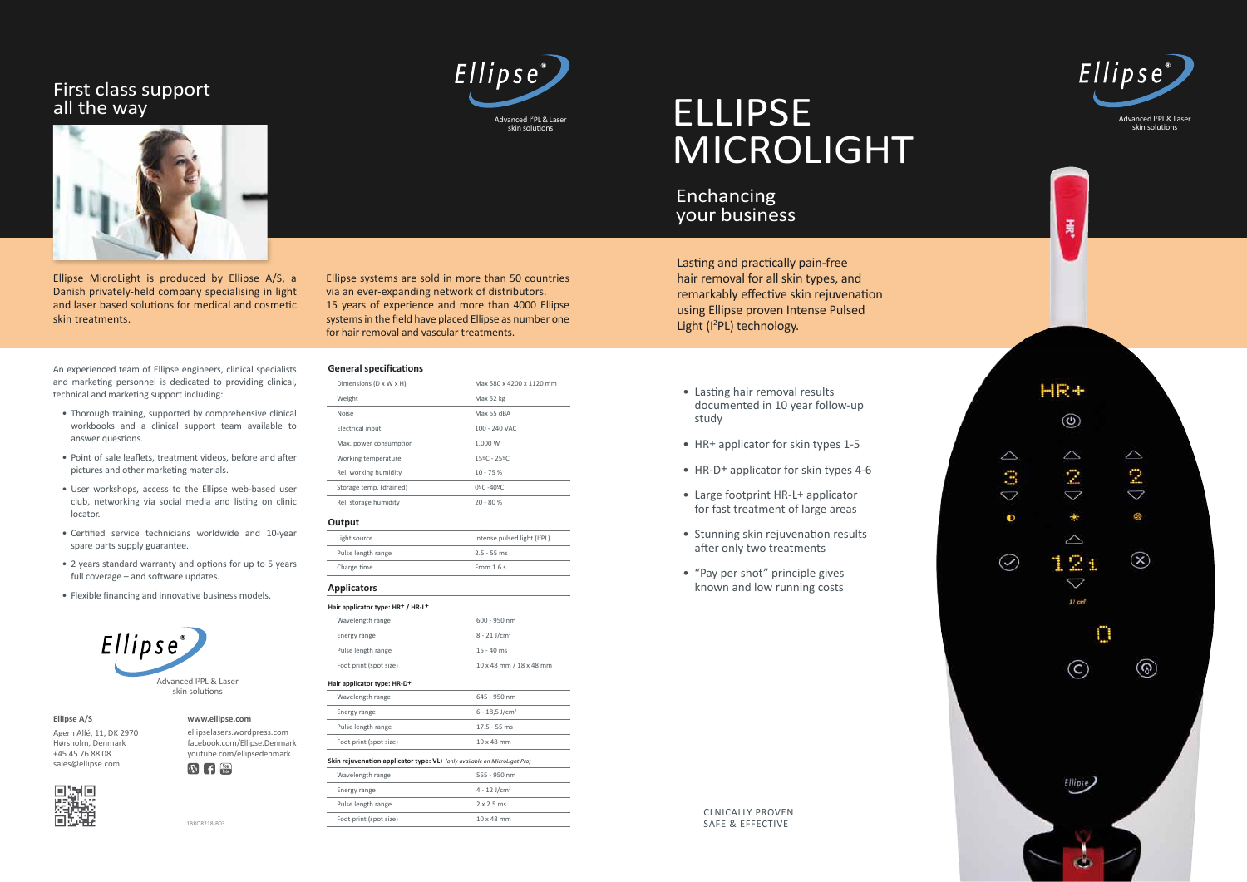Advanced I 2 PL & Laser skin solutions



夷



ellipselasers.wordpress.com facebook.com/Ellipse.Denmark youtube.com/ellipsedenmark  $\overline{W}$   $\overline{f}$   $\overline{f}$   $\overline{f}$   $\overline{f}$   $\overline{f}$   $\overline{f}$   $\overline{f}$   $\overline{f}$   $\overline{f}$   $\overline{f}$   $\overline{f}$   $\overline{f}$   $\overline{f}$   $\overline{f}$   $\overline{f}$   $\overline{f}$   $\overline{f}$   $\overline{f}$   $\overline{f}$   $\overline{f}$   $\overline{f}$   $\overline{f}$   $\overline{f}$   $\overline{$ 



skin solutions



**www.ellipse.com**

**Ellipse A/S** Agern Allé, 11, DK 2970 Hørsholm, Denmark +45 45 76 88 08 sales@ellipse.com

1BRO8218-B03

Lasting and practically pain-free hair removal for all skin types, and remarkably effective skin rejuvenation using Ellipse proven Intense Pulsed Light (I<sup>2</sup>PL) technology.

- Lasting hair removal results documented in 10 year follow-up study
- HR + applicator for skin types 1-5
- HR-D + applicator for skin types 4-6
- Large footprint HR-L+ applicator for fast treatment of large areas
- Stunning skin rejuvenation results after only two treatments
- "Pay per shot" principle gives known and low running costs

Ellipse MicroLight is produced by Ellipse A/S, a Danish privately-held company specialising in light and laser based solutions for medical and cosmetic skin treatments.

Ellipse systems are sold in more than 50 countries via an ever-expanding network of distributors. 15 years of experience and more than 4000 Ellipse systems in the field have placed Ellipse as number one for hair removal and vascular treatments.

#### **General specifications**

| Dimensions (D x W x H)  | Max 580 x 4200 x 1120 mm                 |
|-------------------------|------------------------------------------|
| Weight                  | Max 52 kg                                |
| <b>Noise</b>            | Max 55 dBA                               |
| Electrical input        | 100 - 240 VAC                            |
| Max. power consumption  | 1.000 W                                  |
| Working temperature     | 15ºC - 25ºC                              |
| Rel. working humidity   | $10 - 75%$                               |
| Storage temp. (drained) | $0^{\circ}$ C -40 $^{\circ}$ C           |
| Rel. storage humidity   | $20 - 80%$                               |
| Output                  |                                          |
| Light source            | Intense pulsed light (I <sup>2</sup> PL) |
| Pulse length range      | $2.5 - 55$ ms                            |
| Charge time             | From $1.6s$                              |

| Hair applicator type: HR+ / HR-L+                                         |                              |
|---------------------------------------------------------------------------|------------------------------|
| Wavelength range                                                          | $600 - 950$ nm               |
| Energy range                                                              | $8 - 21$ J/cm <sup>2</sup>   |
| Pulse length range                                                        | $15 - 40$ ms                 |
| Foot print (spot size)                                                    | 10 x 48 mm / 18 x 48 mm      |
| Hair applicator type: HR-D+                                               |                              |
| Wavelength range                                                          | 645 - 950 nm                 |
| Energy range                                                              | $6 - 18.5$ J/cm <sup>2</sup> |
| Pulse length range                                                        | $17.5 - 55$ ms               |
| Foot print (spot size)                                                    | $10 \times 48$ mm            |
| Skin rejuvenation applicator type: VL+ (only available on MicroLight Pro) |                              |
| Wavelength range                                                          | 555 - 950 nm                 |
| Energy range                                                              | $4 - 12$ J/cm <sup>2</sup>   |
| Pulse length range                                                        | $2 \times 2.5$ ms            |
| Foot print (spot size)                                                    | $10 \times 48$ mm            |
|                                                                           |                              |

An experienced team of Ellipse engineers, clinical specialists and marketing personnel is dedicated to providing clinical, technical and marketing support including:

- Thorough training, supported by comprehensive clinical workbooks and a clinical support team available to answer questions.
- Point of sale leaflets, treatment videos, before and after pictures and other marketing materials.
- User workshops, access to the Ellipse web-based user club, networking via social media and listing on clinic locator.
- Certified service technicians worldwide and 10-year spare parts supply guarantee.
- 2 years standard warranty and options for up to 5 years full coverage – and software updates.
- Flexible financing and innovative business models.

# Enchancing your business

# ELLIPSE MICROLIGHT

#### First class support all the way